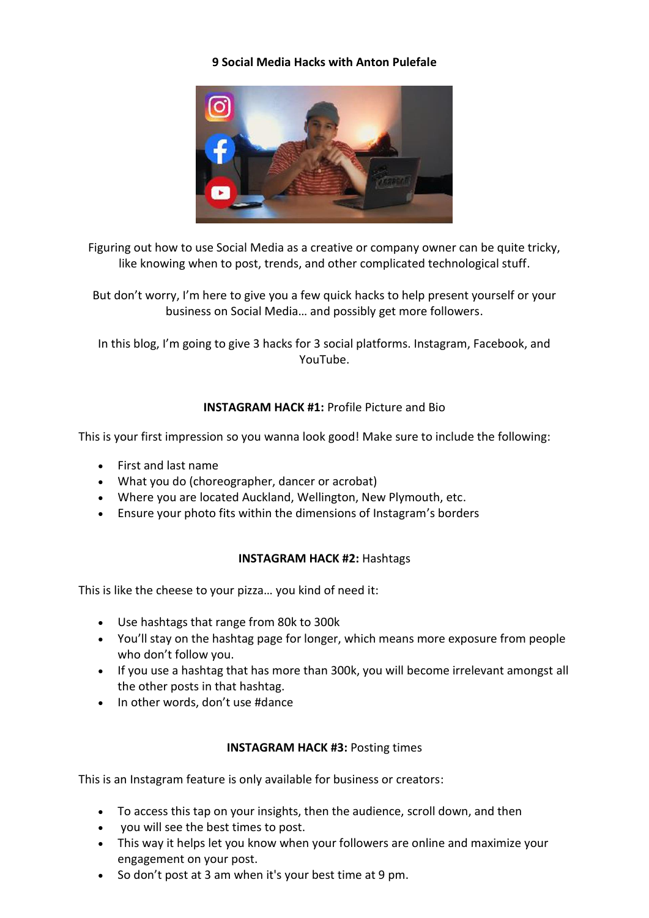# **9 Social Media Hacks with Anton Pulefale**



Figuring out how to use Social Media as a creative or company owner can be quite tricky, like knowing when to post, trends, and other complicated technological stuff.

But don't worry, I'm here to give you a few quick hacks to help present yourself or your business on Social Media… and possibly get more followers.

In this blog, I'm going to give 3 hacks for 3 social platforms. Instagram, Facebook, and YouTube.

# **INSTAGRAM HACK #1:** Profile Picture and Bio

This is your first impression so you wanna look good! Make sure to include the following:

- First and last name
- What you do (choreographer, dancer or acrobat)
- Where you are located Auckland, Wellington, New Plymouth, etc.
- Ensure your photo fits within the dimensions of Instagram's borders

# **INSTAGRAM HACK #2:** Hashtags

This is like the cheese to your pizza… you kind of need it:

- Use hashtags that range from 80k to 300k
- You'll stay on the hashtag page for longer, which means more exposure from people who don't follow you.
- If you use a hashtag that has more than 300k, you will become irrelevant amongst all the other posts in that hashtag.
- In other words, don't use #dance

# **INSTAGRAM HACK #3:** Posting times

This is an Instagram feature is only available for business or creators:

- To access this tap on your insights, then the audience, scroll down, and then
- you will see the best times to post.
- This way it helps let you know when your followers are online and maximize your engagement on your post.
- So don't post at 3 am when it's your best time at 9 pm.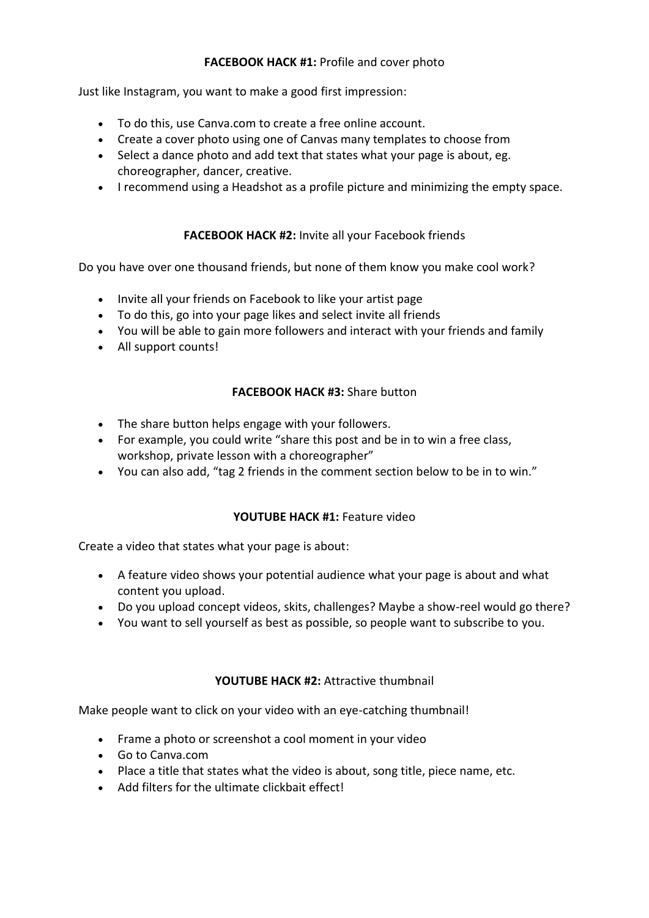# **FACEBOOK HACK #1:** Profile and cover photo

Just like Instagram, you want to make a good first impression:

- To do this, use Canva.com to create a free online account.
- Create a cover photo using one of Canvas many templates to choose from
- Select a dance photo and add text that states what your page is about, eg. choreographer, dancer, creative.
- I recommend using a Headshot as a profile picture and minimizing the empty space.

# **FACEBOOK HACK #2:** Invite all your Facebook friends

Do you have over one thousand friends, but none of them know you make cool work?

- Invite all your friends on Facebook to like your artist page
- To do this, go into your page likes and select invite all friends
- You will be able to gain more followers and interact with your friends and family
- All support counts!

# **FACEBOOK HACK #3:** Share button

- The share button helps engage with your followers.
- For example, you could write "share this post and be in to win a free class, workshop, private lesson with a choreographer"
- You can also add, "tag 2 friends in the comment section below to be in to win."

# **YOUTUBE HACK #1:** Feature video

Create a video that states what your page is about:

- A feature video shows your potential audience what your page is about and what content you upload.
- Do you upload concept videos, skits, challenges? Maybe a show-reel would go there?
- You want to sell yourself as best as possible, so people want to subscribe to you.

# **YOUTUBE HACK #2:** Attractive thumbnail

Make people want to click on your video with an eye-catching thumbnail!

- Frame a photo or screenshot a cool moment in your video
- Go to Canva.com
- Place a title that states what the video is about, song title, piece name, etc.
- Add filters for the ultimate clickbait effect!